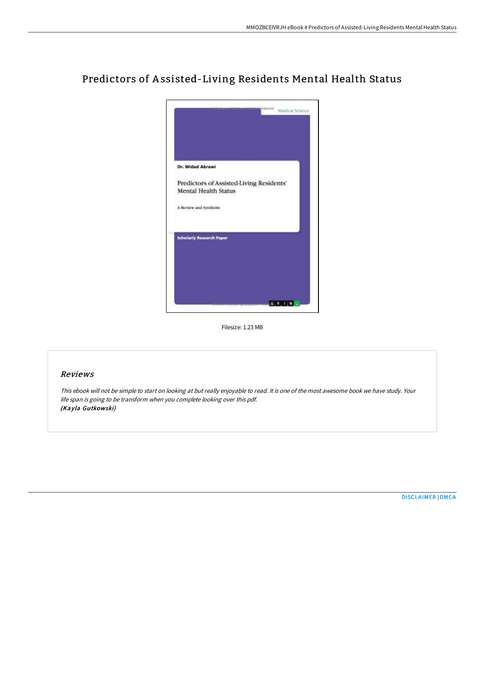

# Predictors of A ssisted-Living Residents Mental Health Status

Filesize: 1.23 MB

### Reviews

This ebook will not be simple to start on looking at but really enjoyable to read. It is one of the most awesome book we have study. Your life span is going to be transform when you complete looking over this pdf. (Kayla Gutkowski)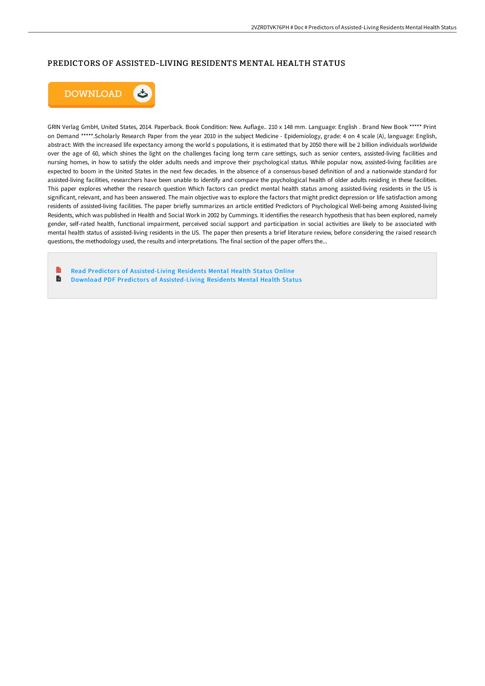### PREDICTORS OF ASSISTED-LIVING RESIDENTS MENTAL HEALTH STATUS



GRIN Verlag GmbH, United States, 2014. Paperback. Book Condition: New. Auflage.. 210 x 148 mm. Language: English . Brand New Book \*\*\*\*\* Print on Demand \*\*\*\*\*.Scholarly Research Paper from the year 2010 in the subject Medicine - Epidemiology, grade: 4 on 4 scale (A), language: English, abstract: With the increased life expectancy among the world s populations, it is estimated that by 2050 there will be 2 billion individuals worldwide over the age of 60, which shines the light on the challenges facing long term care settings, such as senior centers, assisted-living facilities and nursing homes, in how to satisfy the older adults needs and improve their psychological status. While popular now, assisted-living facilities are expected to boom in the United States in the next few decades. In the absence of a consensus-based definition of and a nationwide standard for assisted-living facilities, researchers have been unable to identify and compare the psychological health of older adults residing in these facilities. This paper explores whether the research question Which factors can predict mental health status among assisted-living residents in the US is significant, relevant, and has been answered. The main objective was to explore the factors that might predict depression or life satisfaction among residents of assisted-living facilities. The paper briefly summarizes an article entitled Predictors of Psychological Well-being among Assisted-living Residents, which was published in Health and Social Work in 2002 by Cummings. It identifies the research hypothesis that has been explored, namely gender, self-rated health, functional impairment, perceived social support and participation in social activities are likely to be associated with mental health status of assisted-living residents in the US. The paper then presents a brief literature review, before considering the raised research questions, the methodology used, the results and interpretations. The final section of the paper offers the...

Read Predictors of [Assisted-Living](http://techno-pub.tech/predictors-of-assisted-living-residents-mental-h.html) Residents Mental Health Status Online  $\blacktriangleright$ Download PDF Predictors of [Assisted-Living](http://techno-pub.tech/predictors-of-assisted-living-residents-mental-h.html) Residents Mental Health Status